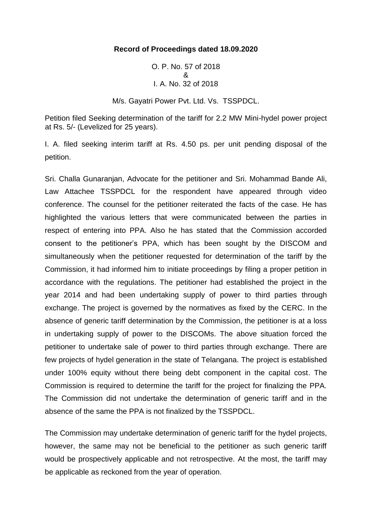## **Record of Proceedings dated 18.09.2020**

O. P. No. 57 of 2018 & I. A. No. 32 of 2018

M/s. Gayatri Power Pvt. Ltd. Vs. TSSPDCL.

Petition filed Seeking determination of the tariff for 2.2 MW Mini-hydel power project at Rs. 5/- (Levelized for 25 years).

I. A. filed seeking interim tariff at Rs. 4.50 ps. per unit pending disposal of the petition.

Sri. Challa Gunaranjan, Advocate for the petitioner and Sri. Mohammad Bande Ali, Law Attachee TSSPDCL for the respondent have appeared through video conference. The counsel for the petitioner reiterated the facts of the case. He has highlighted the various letters that were communicated between the parties in respect of entering into PPA. Also he has stated that the Commission accorded consent to the petitioner's PPA, which has been sought by the DISCOM and simultaneously when the petitioner requested for determination of the tariff by the Commission, it had informed him to initiate proceedings by filing a proper petition in accordance with the regulations. The petitioner had established the project in the year 2014 and had been undertaking supply of power to third parties through exchange. The project is governed by the normatives as fixed by the CERC. In the absence of generic tariff determination by the Commission, the petitioner is at a loss in undertaking supply of power to the DISCOMs. The above situation forced the petitioner to undertake sale of power to third parties through exchange. There are few projects of hydel generation in the state of Telangana. The project is established under 100% equity without there being debt component in the capital cost. The Commission is required to determine the tariff for the project for finalizing the PPA. The Commission did not undertake the determination of generic tariff and in the absence of the same the PPA is not finalized by the TSSPDCL.

The Commission may undertake determination of generic tariff for the hydel projects, however, the same may not be beneficial to the petitioner as such generic tariff would be prospectively applicable and not retrospective. At the most, the tariff may be applicable as reckoned from the year of operation.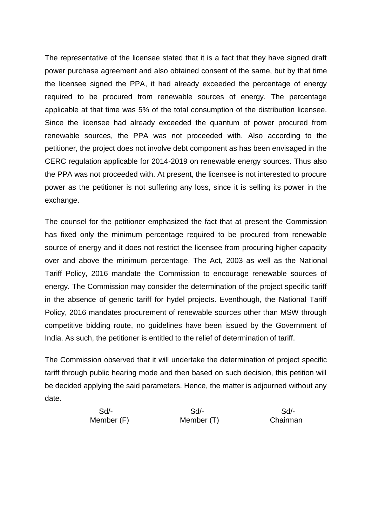The representative of the licensee stated that it is a fact that they have signed draft power purchase agreement and also obtained consent of the same, but by that time the licensee signed the PPA, it had already exceeded the percentage of energy required to be procured from renewable sources of energy. The percentage applicable at that time was 5% of the total consumption of the distribution licensee. Since the licensee had already exceeded the quantum of power procured from renewable sources, the PPA was not proceeded with. Also according to the petitioner, the project does not involve debt component as has been envisaged in the CERC regulation applicable for 2014-2019 on renewable energy sources. Thus also the PPA was not proceeded with. At present, the licensee is not interested to procure power as the petitioner is not suffering any loss, since it is selling its power in the exchange.

The counsel for the petitioner emphasized the fact that at present the Commission has fixed only the minimum percentage required to be procured from renewable source of energy and it does not restrict the licensee from procuring higher capacity over and above the minimum percentage. The Act, 2003 as well as the National Tariff Policy, 2016 mandate the Commission to encourage renewable sources of energy. The Commission may consider the determination of the project specific tariff in the absence of generic tariff for hydel projects. Eventhough, the National Tariff Policy, 2016 mandates procurement of renewable sources other than MSW through competitive bidding route, no guidelines have been issued by the Government of India. As such, the petitioner is entitled to the relief of determination of tariff.

The Commission observed that it will undertake the determination of project specific tariff through public hearing mode and then based on such decision, this petition will be decided applying the said parameters. Hence, the matter is adjourned without any date.

 Sd/- Sd/- Sd/- Member (F) Member (T) Chairman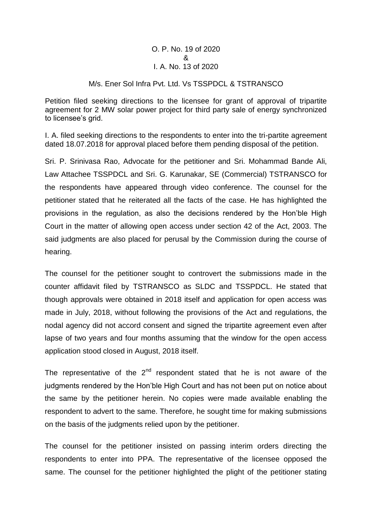## O. P. No. 19 of 2020 & I. A. No. 13 of 2020

## M/s. Ener Sol Infra Pvt. Ltd. Vs TSSPDCL & TSTRANSCO

Petition filed seeking directions to the licensee for grant of approval of tripartite agreement for 2 MW solar power project for third party sale of energy synchronized to licensee's grid.

I. A. filed seeking directions to the respondents to enter into the tri-partite agreement dated 18.07.2018 for approval placed before them pending disposal of the petition.

Sri. P. Srinivasa Rao, Advocate for the petitioner and Sri. Mohammad Bande Ali, Law Attachee TSSPDCL and Sri. G. Karunakar, SE (Commercial) TSTRANSCO for the respondents have appeared through video conference. The counsel for the petitioner stated that he reiterated all the facts of the case. He has highlighted the provisions in the regulation, as also the decisions rendered by the Hon'ble High Court in the matter of allowing open access under section 42 of the Act, 2003. The said judgments are also placed for perusal by the Commission during the course of hearing.

The counsel for the petitioner sought to controvert the submissions made in the counter affidavit filed by TSTRANSCO as SLDC and TSSPDCL. He stated that though approvals were obtained in 2018 itself and application for open access was made in July, 2018, without following the provisions of the Act and regulations, the nodal agency did not accord consent and signed the tripartite agreement even after lapse of two years and four months assuming that the window for the open access application stood closed in August, 2018 itself.

The representative of the  $2^{nd}$  respondent stated that he is not aware of the judgments rendered by the Hon'ble High Court and has not been put on notice about the same by the petitioner herein. No copies were made available enabling the respondent to advert to the same. Therefore, he sought time for making submissions on the basis of the judgments relied upon by the petitioner.

The counsel for the petitioner insisted on passing interim orders directing the respondents to enter into PPA. The representative of the licensee opposed the same. The counsel for the petitioner highlighted the plight of the petitioner stating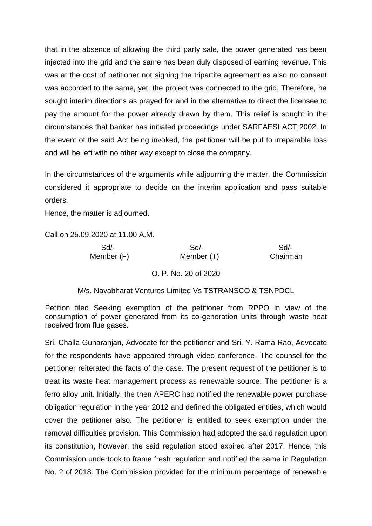that in the absence of allowing the third party sale, the power generated has been injected into the grid and the same has been duly disposed of earning revenue. This was at the cost of petitioner not signing the tripartite agreement as also no consent was accorded to the same, yet, the project was connected to the grid. Therefore, he sought interim directions as prayed for and in the alternative to direct the licensee to pay the amount for the power already drawn by them. This relief is sought in the circumstances that banker has initiated proceedings under SARFAESI ACT 2002. In the event of the said Act being invoked, the petitioner will be put to irreparable loss and will be left with no other way except to close the company.

In the circumstances of the arguments while adjourning the matter, the Commission considered it appropriate to decide on the interim application and pass suitable orders.

Hence, the matter is adjourned.

Call on 25.09.2020 at 11.00 A.M.

| $Sd$ -     | Sd         | Sd/-     |
|------------|------------|----------|
| Member (F) | Member (T) | Chairman |

O. P. No. 20 of 2020

M/s. Navabharat Ventures Limited Vs TSTRANSCO & TSNPDCL

Petition filed Seeking exemption of the petitioner from RPPO in view of the consumption of power generated from its co-generation units through waste heat received from flue gases.

Sri. Challa Gunaranjan, Advocate for the petitioner and Sri. Y. Rama Rao, Advocate for the respondents have appeared through video conference. The counsel for the petitioner reiterated the facts of the case. The present request of the petitioner is to treat its waste heat management process as renewable source. The petitioner is a ferro alloy unit. Initially, the then APERC had notified the renewable power purchase obligation regulation in the year 2012 and defined the obligated entities, which would cover the petitioner also. The petitioner is entitled to seek exemption under the removal difficulties provision. This Commission had adopted the said regulation upon its constitution, however, the said regulation stood expired after 2017. Hence, this Commission undertook to frame fresh regulation and notified the same in Regulation No. 2 of 2018. The Commission provided for the minimum percentage of renewable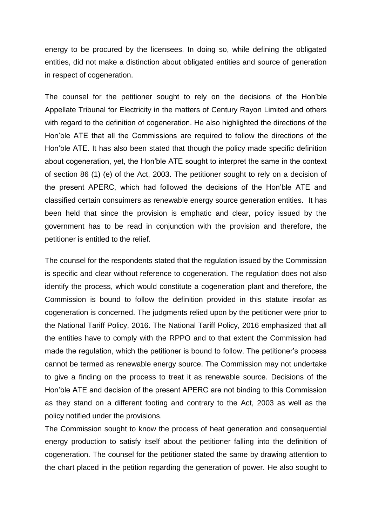energy to be procured by the licensees. In doing so, while defining the obligated entities, did not make a distinction about obligated entities and source of generation in respect of cogeneration.

The counsel for the petitioner sought to rely on the decisions of the Hon'ble Appellate Tribunal for Electricity in the matters of Century Rayon Limited and others with regard to the definition of cogeneration. He also highlighted the directions of the Hon'ble ATE that all the Commissions are required to follow the directions of the Hon'ble ATE. It has also been stated that though the policy made specific definition about cogeneration, yet, the Hon'ble ATE sought to interpret the same in the context of section 86 (1) (e) of the Act, 2003. The petitioner sought to rely on a decision of the present APERC, which had followed the decisions of the Hon'ble ATE and classified certain consuimers as renewable energy source generation entities. It has been held that since the provision is emphatic and clear, policy issued by the government has to be read in conjunction with the provision and therefore, the petitioner is entitled to the relief.

The counsel for the respondents stated that the regulation issued by the Commission is specific and clear without reference to cogeneration. The regulation does not also identify the process, which would constitute a cogeneration plant and therefore, the Commission is bound to follow the definition provided in this statute insofar as cogeneration is concerned. The judgments relied upon by the petitioner were prior to the National Tariff Policy, 2016. The National Tariff Policy, 2016 emphasized that all the entities have to comply with the RPPO and to that extent the Commission had made the regulation, which the petitioner is bound to follow. The petitioner's process cannot be termed as renewable energy source. The Commission may not undertake to give a finding on the process to treat it as renewable source. Decisions of the Hon'ble ATE and decision of the present APERC are not binding to this Commission as they stand on a different footing and contrary to the Act, 2003 as well as the policy notified under the provisions.

The Commission sought to know the process of heat generation and consequential energy production to satisfy itself about the petitioner falling into the definition of cogeneration. The counsel for the petitioner stated the same by drawing attention to the chart placed in the petition regarding the generation of power. He also sought to